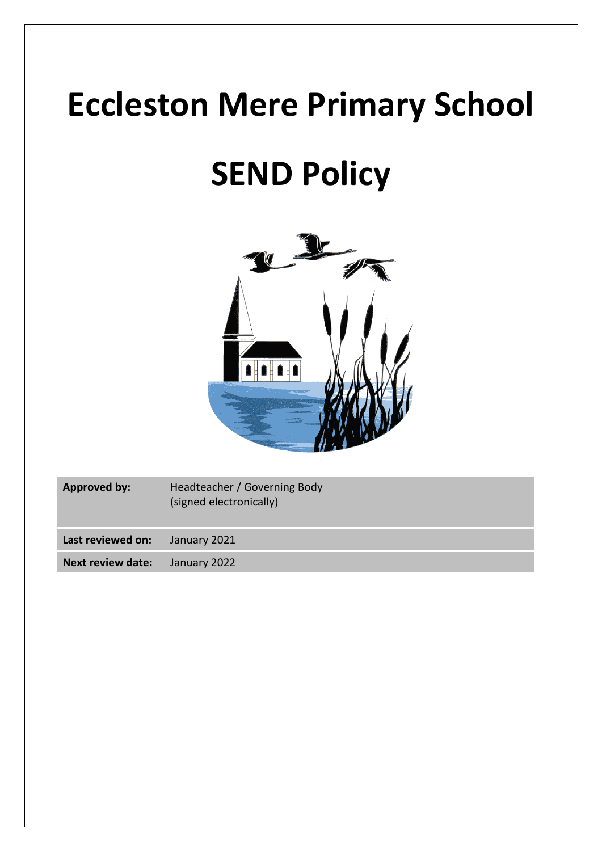# **Eccleston Mere Primary School**

# **SEND Policy**



| <b>Approved by:</b>      | Headteacher / Governing Body<br>(signed electronically) |
|--------------------------|---------------------------------------------------------|
| Last reviewed on:        | January 2021                                            |
| <b>Next review date:</b> | January 2022                                            |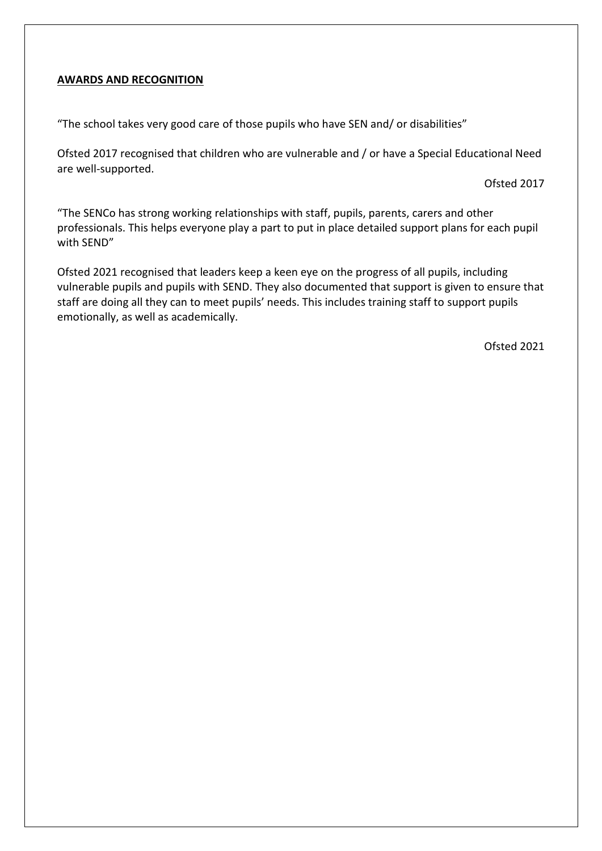#### **AWARDS AND RECOGNITION**

"The school takes very good care of those pupils who have SEN and/ or disabilities"

Ofsted 2017 recognised that children who are vulnerable and / or have a Special Educational Need are well-supported.

Ofsted 2017

"The SENCo has strong working relationships with staff, pupils, parents, carers and other professionals. This helps everyone play a part to put in place detailed support plans for each pupil with SEND"

Ofsted 2021 recognised that leaders keep a keen eye on the progress of all pupils, including vulnerable pupils and pupils with SEND. They also documented that support is given to ensure that staff are doing all they can to meet pupils' needs. This includes training staff to support pupils emotionally, as well as academically.

Ofsted 2021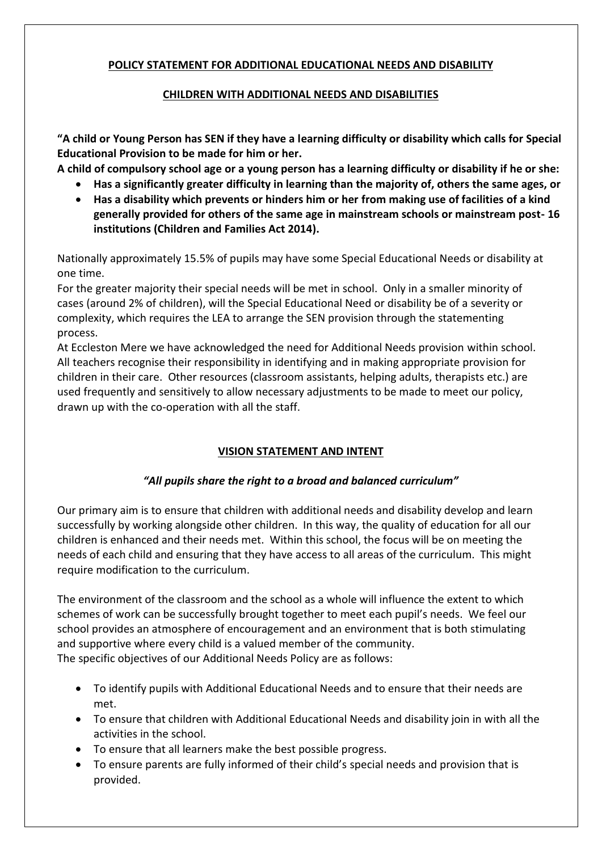## **POLICY STATEMENT FOR ADDITIONAL EDUCATIONAL NEEDS AND DISABILITY**

## **CHILDREN WITH ADDITIONAL NEEDS AND DISABILITIES**

**"A child or Young Person has SEN if they have a learning difficulty or disability which calls for Special Educational Provision to be made for him or her.**

**A child of compulsory school age or a young person has a learning difficulty or disability if he or she:**

- **Has a significantly greater difficulty in learning than the majority of, others the same ages, or**
- **Has a disability which prevents or hinders him or her from making use of facilities of a kind generally provided for others of the same age in mainstream schools or mainstream post- 16 institutions (Children and Families Act 2014).**

Nationally approximately 15.5% of pupils may have some Special Educational Needs or disability at one time.

For the greater majority their special needs will be met in school. Only in a smaller minority of cases (around 2% of children), will the Special Educational Need or disability be of a severity or complexity, which requires the LEA to arrange the SEN provision through the statementing process.

At Eccleston Mere we have acknowledged the need for Additional Needs provision within school. All teachers recognise their responsibility in identifying and in making appropriate provision for children in their care. Other resources (classroom assistants, helping adults, therapists etc.) are used frequently and sensitively to allow necessary adjustments to be made to meet our policy, drawn up with the co-operation with all the staff.

# **VISION STATEMENT AND INTENT**

# *"All pupils share the right to a broad and balanced curriculum"*

Our primary aim is to ensure that children with additional needs and disability develop and learn successfully by working alongside other children. In this way, the quality of education for all our children is enhanced and their needs met. Within this school, the focus will be on meeting the needs of each child and ensuring that they have access to all areas of the curriculum. This might require modification to the curriculum.

The environment of the classroom and the school as a whole will influence the extent to which schemes of work can be successfully brought together to meet each pupil's needs. We feel our school provides an atmosphere of encouragement and an environment that is both stimulating and supportive where every child is a valued member of the community. The specific objectives of our Additional Needs Policy are as follows:

- To identify pupils with Additional Educational Needs and to ensure that their needs are met.
- To ensure that children with Additional Educational Needs and disability join in with all the activities in the school.
- To ensure that all learners make the best possible progress.
- To ensure parents are fully informed of their child's special needs and provision that is provided.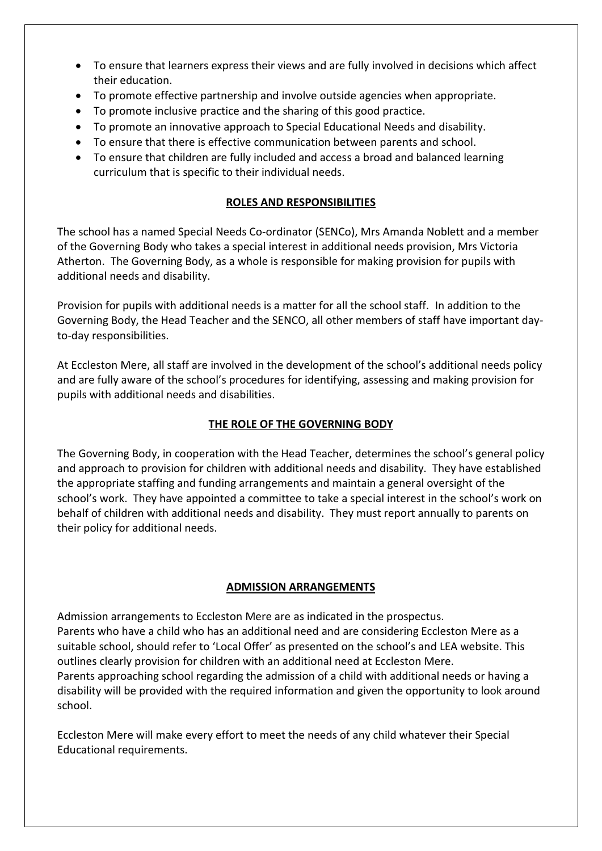- To ensure that learners express their views and are fully involved in decisions which affect their education.
- To promote effective partnership and involve outside agencies when appropriate.
- To promote inclusive practice and the sharing of this good practice.
- To promote an innovative approach to Special Educational Needs and disability.
- To ensure that there is effective communication between parents and school.
- To ensure that children are fully included and access a broad and balanced learning curriculum that is specific to their individual needs.

## **ROLES AND RESPONSIBILITIES**

The school has a named Special Needs Co-ordinator (SENCo), Mrs Amanda Noblett and a member of the Governing Body who takes a special interest in additional needs provision, Mrs Victoria Atherton. The Governing Body, as a whole is responsible for making provision for pupils with additional needs and disability.

Provision for pupils with additional needs is a matter for all the school staff. In addition to the Governing Body, the Head Teacher and the SENCO, all other members of staff have important dayto-day responsibilities.

At Eccleston Mere, all staff are involved in the development of the school's additional needs policy and are fully aware of the school's procedures for identifying, assessing and making provision for pupils with additional needs and disabilities.

## **THE ROLE OF THE GOVERNING BODY**

The Governing Body, in cooperation with the Head Teacher, determines the school's general policy and approach to provision for children with additional needs and disability. They have established the appropriate staffing and funding arrangements and maintain a general oversight of the school's work. They have appointed a committee to take a special interest in the school's work on behalf of children with additional needs and disability. They must report annually to parents on their policy for additional needs.

## **ADMISSION ARRANGEMENTS**

Admission arrangements to Eccleston Mere are as indicated in the prospectus. Parents who have a child who has an additional need and are considering Eccleston Mere as a suitable school, should refer to 'Local Offer' as presented on the school's and LEA website. This outlines clearly provision for children with an additional need at Eccleston Mere. Parents approaching school regarding the admission of a child with additional needs or having a disability will be provided with the required information and given the opportunity to look around school.

Eccleston Mere will make every effort to meet the needs of any child whatever their Special Educational requirements.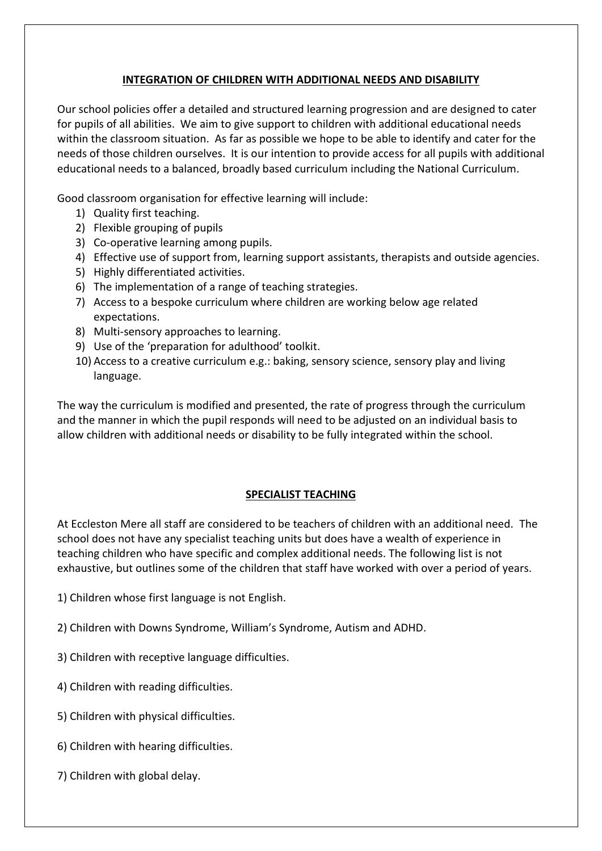## **INTEGRATION OF CHILDREN WITH ADDITIONAL NEEDS AND DISABILITY**

Our school policies offer a detailed and structured learning progression and are designed to cater for pupils of all abilities. We aim to give support to children with additional educational needs within the classroom situation. As far as possible we hope to be able to identify and cater for the needs of those children ourselves. It is our intention to provide access for all pupils with additional educational needs to a balanced, broadly based curriculum including the National Curriculum.

Good classroom organisation for effective learning will include:

- 1) Quality first teaching.
- 2) Flexible grouping of pupils
- 3) Co-operative learning among pupils.
- 4) Effective use of support from, learning support assistants, therapists and outside agencies.
- 5) Highly differentiated activities.
- 6) The implementation of a range of teaching strategies.
- 7) Access to a bespoke curriculum where children are working below age related expectations.
- 8) Multi-sensory approaches to learning.
- 9) Use of the 'preparation for adulthood' toolkit.
- 10) Access to a creative curriculum e.g.: baking, sensory science, sensory play and living language.

The way the curriculum is modified and presented, the rate of progress through the curriculum and the manner in which the pupil responds will need to be adjusted on an individual basis to allow children with additional needs or disability to be fully integrated within the school.

## **SPECIALIST TEACHING**

At Eccleston Mere all staff are considered to be teachers of children with an additional need. The school does not have any specialist teaching units but does have a wealth of experience in teaching children who have specific and complex additional needs. The following list is not exhaustive, but outlines some of the children that staff have worked with over a period of years.

- 1) Children whose first language is not English.
- 2) Children with Downs Syndrome, William's Syndrome, Autism and ADHD.
- 3) Children with receptive language difficulties.
- 4) Children with reading difficulties.
- 5) Children with physical difficulties.
- 6) Children with hearing difficulties.
- 7) Children with global delay.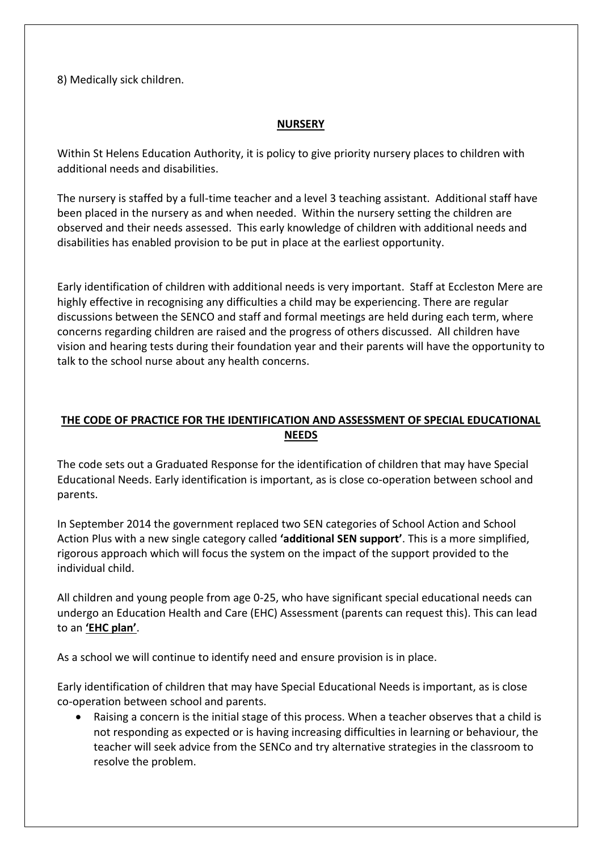8) Medically sick children.

## **NURSERY**

Within St Helens Education Authority, it is policy to give priority nursery places to children with additional needs and disabilities.

The nursery is staffed by a full-time teacher and a level 3 teaching assistant. Additional staff have been placed in the nursery as and when needed. Within the nursery setting the children are observed and their needs assessed. This early knowledge of children with additional needs and disabilities has enabled provision to be put in place at the earliest opportunity.

Early identification of children with additional needs is very important. Staff at Eccleston Mere are highly effective in recognising any difficulties a child may be experiencing. There are regular discussions between the SENCO and staff and formal meetings are held during each term, where concerns regarding children are raised and the progress of others discussed. All children have vision and hearing tests during their foundation year and their parents will have the opportunity to talk to the school nurse about any health concerns.

# **THE CODE OF PRACTICE FOR THE IDENTIFICATION AND ASSESSMENT OF SPECIAL EDUCATIONAL NEEDS**

The code sets out a Graduated Response for the identification of children that may have Special Educational Needs. Early identification is important, as is close co-operation between school and parents.

In September 2014 the government replaced two SEN categories of School Action and School Action Plus with a new single category called **'additional SEN support'**. This is a more simplified, rigorous approach which will focus the system on the impact of the support provided to the individual child.

All children and young people from age 0-25, who have significant special educational needs can undergo an Education Health and Care (EHC) Assessment (parents can request this). This can lead to an **'EHC plan'**.

As a school we will continue to identify need and ensure provision is in place.

Early identification of children that may have Special Educational Needs is important, as is close co-operation between school and parents.

• Raising a concern is the initial stage of this process. When a teacher observes that a child is not responding as expected or is having increasing difficulties in learning or behaviour, the teacher will seek advice from the SENCo and try alternative strategies in the classroom to resolve the problem.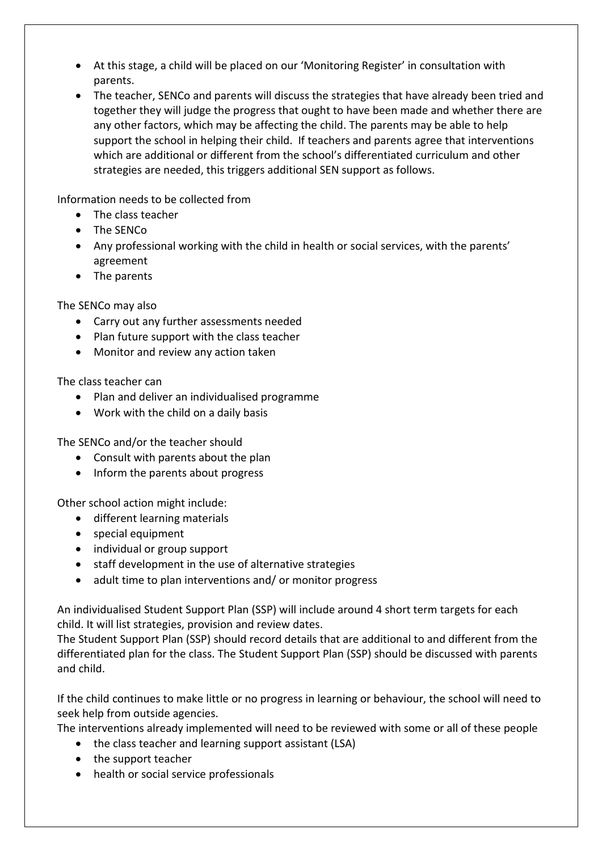- At this stage, a child will be placed on our 'Monitoring Register' in consultation with parents.
- The teacher, SENCo and parents will discuss the strategies that have already been tried and together they will judge the progress that ought to have been made and whether there are any other factors, which may be affecting the child. The parents may be able to help support the school in helping their child. If teachers and parents agree that interventions which are additional or different from the school's differentiated curriculum and other strategies are needed, this triggers additional SEN support as follows.

Information needs to be collected from

- The class teacher
- The SENCo
- Any professional working with the child in health or social services, with the parents' agreement
- The parents

The SENCo may also

- Carry out any further assessments needed
- Plan future support with the class teacher
- Monitor and review any action taken

The class teacher can

- Plan and deliver an individualised programme
- Work with the child on a daily basis

The SENCo and/or the teacher should

- Consult with parents about the plan
- Inform the parents about progress

Other school action might include:

- different learning materials
- special equipment
- individual or group support
- staff development in the use of alternative strategies
- adult time to plan interventions and/ or monitor progress

An individualised Student Support Plan (SSP) will include around 4 short term targets for each child. It will list strategies, provision and review dates.

The Student Support Plan (SSP) should record details that are additional to and different from the differentiated plan for the class. The Student Support Plan (SSP) should be discussed with parents and child.

If the child continues to make little or no progress in learning or behaviour, the school will need to seek help from outside agencies.

The interventions already implemented will need to be reviewed with some or all of these people

- the class teacher and learning support assistant (LSA)
- the support teacher
- health or social service professionals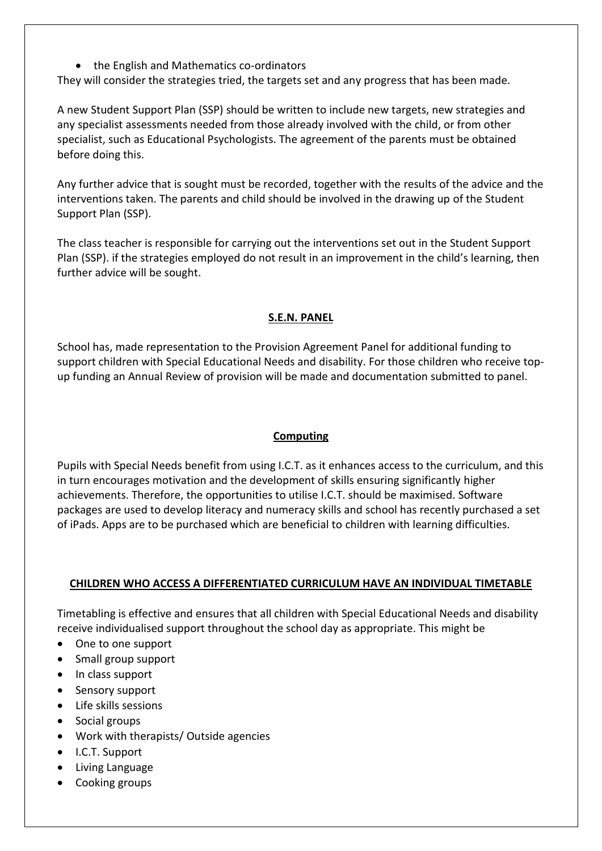• the English and Mathematics co-ordinators

They will consider the strategies tried, the targets set and any progress that has been made.

A new Student Support Plan (SSP) should be written to include new targets, new strategies and any specialist assessments needed from those already involved with the child, or from other specialist, such as Educational Psychologists. The agreement of the parents must be obtained before doing this.

Any further advice that is sought must be recorded, together with the results of the advice and the interventions taken. The parents and child should be involved in the drawing up of the Student Support Plan (SSP).

The class teacher is responsible for carrying out the interventions set out in the Student Support Plan (SSP). if the strategies employed do not result in an improvement in the child's learning, then further advice will be sought.

## **S.E.N. PANEL**

School has, made representation to the Provision Agreement Panel for additional funding to support children with Special Educational Needs and disability. For those children who receive topup funding an Annual Review of provision will be made and documentation submitted to panel.

## **Computing**

Pupils with Special Needs benefit from using I.C.T. as it enhances access to the curriculum, and this in turn encourages motivation and the development of skills ensuring significantly higher achievements. Therefore, the opportunities to utilise I.C.T. should be maximised. Software packages are used to develop literacy and numeracy skills and school has recently purchased a set of iPads. Apps are to be purchased which are beneficial to children with learning difficulties.

## **CHILDREN WHO ACCESS A DIFFERENTIATED CURRICULUM HAVE AN INDIVIDUAL TIMETABLE**

Timetabling is effective and ensures that all children with Special Educational Needs and disability receive individualised support throughout the school day as appropriate. This might be

- One to one support
- Small group support
- In class support
- Sensory support
- Life skills sessions
- Social groups
- Work with therapists/ Outside agencies
- I.C.T. Support
- Living Language
- Cooking groups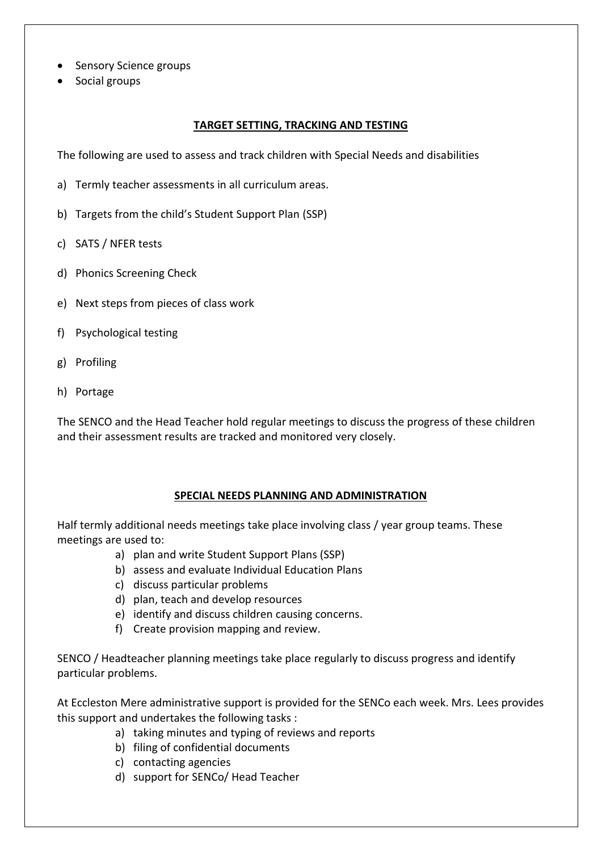- Sensory Science groups
- Social groups

#### **TARGET SETTING, TRACKING AND TESTING**

The following are used to assess and track children with Special Needs and disabilities

- a) Termly teacher assessments in all curriculum areas.
- b) Targets from the child's Student Support Plan (SSP)
- c) SATS / NFER tests
- d) Phonics Screening Check
- e) Next steps from pieces of class work
- f) Psychological testing
- g) Profiling
- h) Portage

The SENCO and the Head Teacher hold regular meetings to discuss the progress of these children and their assessment results are tracked and monitored very closely.

#### **SPECIAL NEEDS PLANNING AND ADMINISTRATION**

Half termly additional needs meetings take place involving class / year group teams. These meetings are used to:

- a) plan and write Student Support Plans (SSP)
- b) assess and evaluate Individual Education Plans
- c) discuss particular problems
- d) plan, teach and develop resources
- e) identify and discuss children causing concerns.
- f) Create provision mapping and review.

SENCO / Headteacher planning meetings take place regularly to discuss progress and identify particular problems.

At Eccleston Mere administrative support is provided for the SENCo each week. Mrs. Lees provides this support and undertakes the following tasks :

- a) taking minutes and typing of reviews and reports
- b) filing of confidential documents
- c) contacting agencies
- d) support for SENCo/ Head Teacher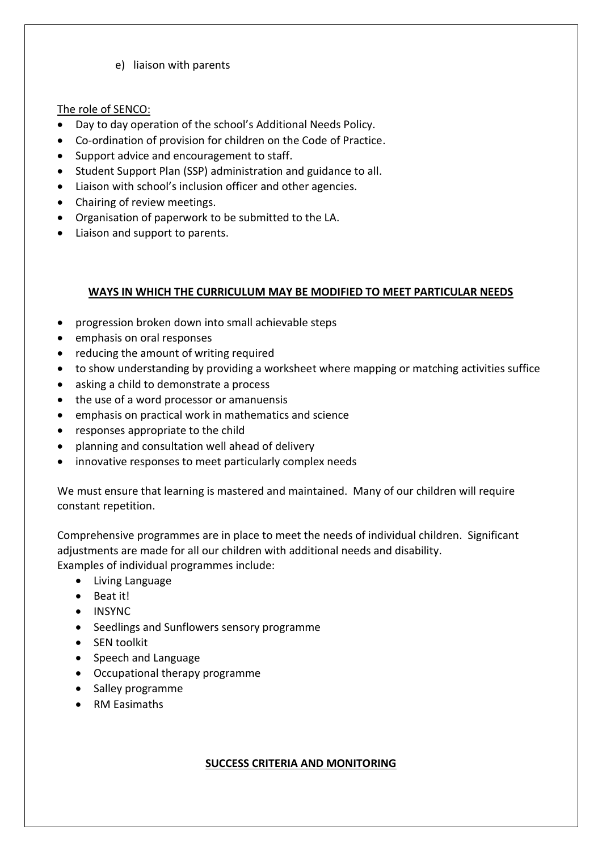e) liaison with parents

## The role of SENCO:

- Day to day operation of the school's Additional Needs Policy.
- Co-ordination of provision for children on the Code of Practice.
- Support advice and encouragement to staff.
- Student Support Plan (SSP) administration and guidance to all.
- Liaison with school's inclusion officer and other agencies.
- Chairing of review meetings.
- Organisation of paperwork to be submitted to the LA.
- Liaison and support to parents.

## **WAYS IN WHICH THE CURRICULUM MAY BE MODIFIED TO MEET PARTICULAR NEEDS**

- progression broken down into small achievable steps
- emphasis on oral responses
- reducing the amount of writing required
- to show understanding by providing a worksheet where mapping or matching activities suffice
- asking a child to demonstrate a process
- the use of a word processor or amanuensis
- emphasis on practical work in mathematics and science
- responses appropriate to the child
- planning and consultation well ahead of delivery
- innovative responses to meet particularly complex needs

We must ensure that learning is mastered and maintained. Many of our children will require constant repetition.

Comprehensive programmes are in place to meet the needs of individual children. Significant adjustments are made for all our children with additional needs and disability. Examples of individual programmes include:

- Living Language
- Beat it!
- INSYNC
- Seedlings and Sunflowers sensory programme
- SEN toolkit
- Speech and Language
- Occupational therapy programme
- Salley programme
- RM Easimaths

#### **SUCCESS CRITERIA AND MONITORING**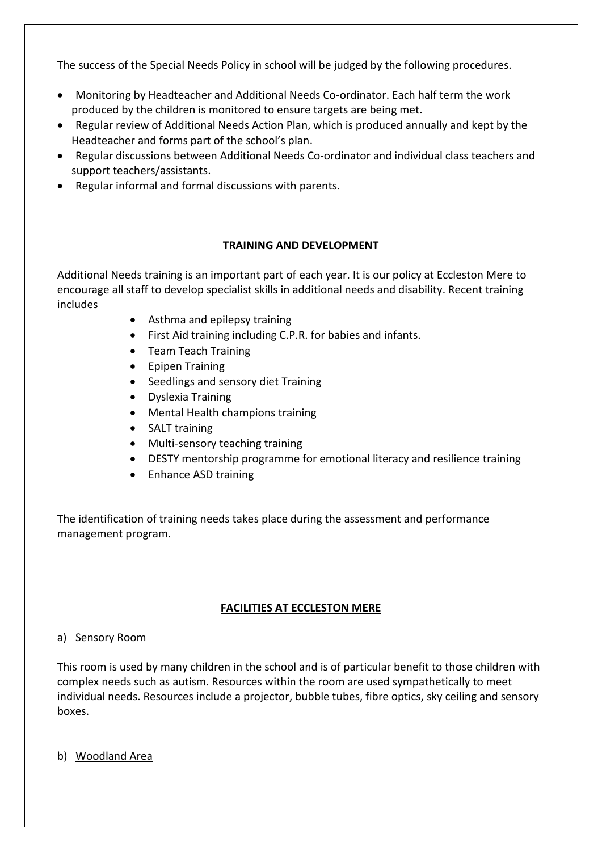The success of the Special Needs Policy in school will be judged by the following procedures.

- Monitoring by Headteacher and Additional Needs Co-ordinator. Each half term the work produced by the children is monitored to ensure targets are being met.
- Regular review of Additional Needs Action Plan, which is produced annually and kept by the Headteacher and forms part of the school's plan.
- Regular discussions between Additional Needs Co-ordinator and individual class teachers and support teachers/assistants.
- Regular informal and formal discussions with parents.

## **TRAINING AND DEVELOPMENT**

Additional Needs training is an important part of each year. It is our policy at Eccleston Mere to encourage all staff to develop specialist skills in additional needs and disability. Recent training includes

- Asthma and epilepsy training
- First Aid training including C.P.R. for babies and infants.
- Team Teach Training
- Epipen Training
- Seedlings and sensory diet Training
- Dyslexia Training
- Mental Health champions training
- SALT training
- Multi-sensory teaching training
- DESTY mentorship programme for emotional literacy and resilience training
- Enhance ASD training

The identification of training needs takes place during the assessment and performance management program.

# **FACILITIES AT ECCLESTON MERE**

## a) Sensory Room

This room is used by many children in the school and is of particular benefit to those children with complex needs such as autism. Resources within the room are used sympathetically to meet individual needs. Resources include a projector, bubble tubes, fibre optics, sky ceiling and sensory boxes.

b) Woodland Area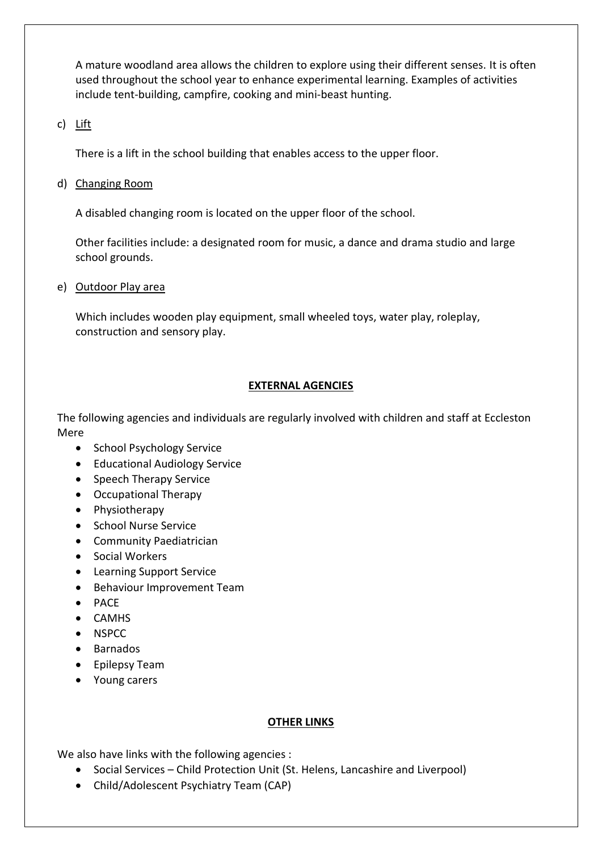A mature woodland area allows the children to explore using their different senses. It is often used throughout the school year to enhance experimental learning. Examples of activities include tent-building, campfire, cooking and mini-beast hunting.

## c) Lift

There is a lift in the school building that enables access to the upper floor.

## d) Changing Room

A disabled changing room is located on the upper floor of the school.

Other facilities include: a designated room for music, a dance and drama studio and large school grounds.

#### e) Outdoor Play area

Which includes wooden play equipment, small wheeled toys, water play, roleplay, construction and sensory play.

## **EXTERNAL AGENCIES**

The following agencies and individuals are regularly involved with children and staff at Eccleston Mere

- School Psychology Service
- Educational Audiology Service
- Speech Therapy Service
- Occupational Therapy
- Physiotherapy
- School Nurse Service
- Community Paediatrician
- Social Workers
- Learning Support Service
- Behaviour Improvement Team
- PACE
- CAMHS
- NSPCC
- Barnados
- Epilepsy Team
- Young carers

## **OTHER LINKS**

We also have links with the following agencies :

- Social Services Child Protection Unit (St. Helens, Lancashire and Liverpool)
- Child/Adolescent Psychiatry Team (CAP)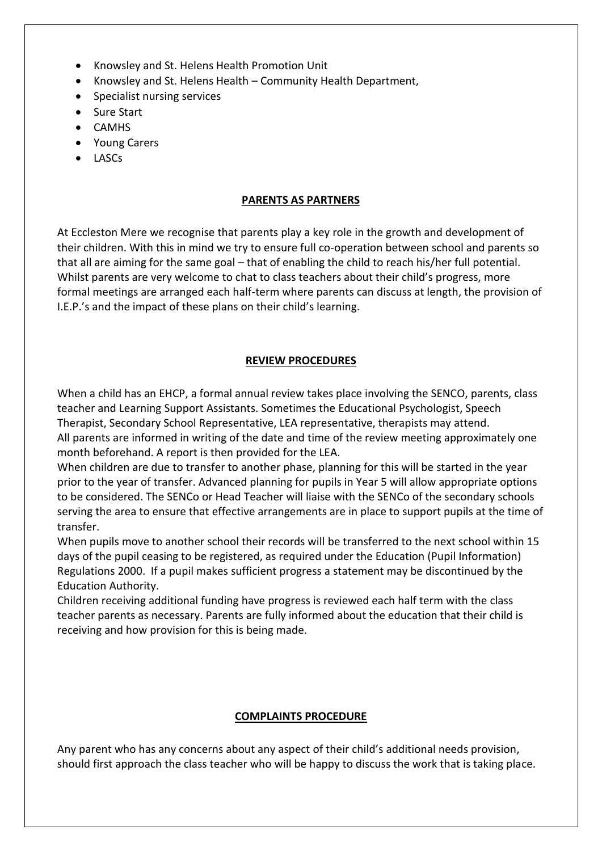- Knowsley and St. Helens Health Promotion Unit
- Knowsley and St. Helens Health Community Health Department,
- Specialist nursing services
- Sure Start
- CAMHS
- Young Carers
- LASCs

## **PARENTS AS PARTNERS**

At Eccleston Mere we recognise that parents play a key role in the growth and development of their children. With this in mind we try to ensure full co-operation between school and parents so that all are aiming for the same goal – that of enabling the child to reach his/her full potential. Whilst parents are very welcome to chat to class teachers about their child's progress, more formal meetings are arranged each half-term where parents can discuss at length, the provision of I.E.P.'s and the impact of these plans on their child's learning.

## **REVIEW PROCEDURES**

When a child has an EHCP, a formal annual review takes place involving the SENCO, parents, class teacher and Learning Support Assistants. Sometimes the Educational Psychologist, Speech Therapist, Secondary School Representative, LEA representative, therapists may attend. All parents are informed in writing of the date and time of the review meeting approximately one month beforehand. A report is then provided for the LEA.

When children are due to transfer to another phase, planning for this will be started in the year prior to the year of transfer. Advanced planning for pupils in Year 5 will allow appropriate options to be considered. The SENCo or Head Teacher will liaise with the SENCo of the secondary schools serving the area to ensure that effective arrangements are in place to support pupils at the time of transfer.

When pupils move to another school their records will be transferred to the next school within 15 days of the pupil ceasing to be registered, as required under the Education (Pupil Information) Regulations 2000. If a pupil makes sufficient progress a statement may be discontinued by the Education Authority.

Children receiving additional funding have progress is reviewed each half term with the class teacher parents as necessary. Parents are fully informed about the education that their child is receiving and how provision for this is being made.

#### **COMPLAINTS PROCEDURE**

Any parent who has any concerns about any aspect of their child's additional needs provision, should first approach the class teacher who will be happy to discuss the work that is taking place.